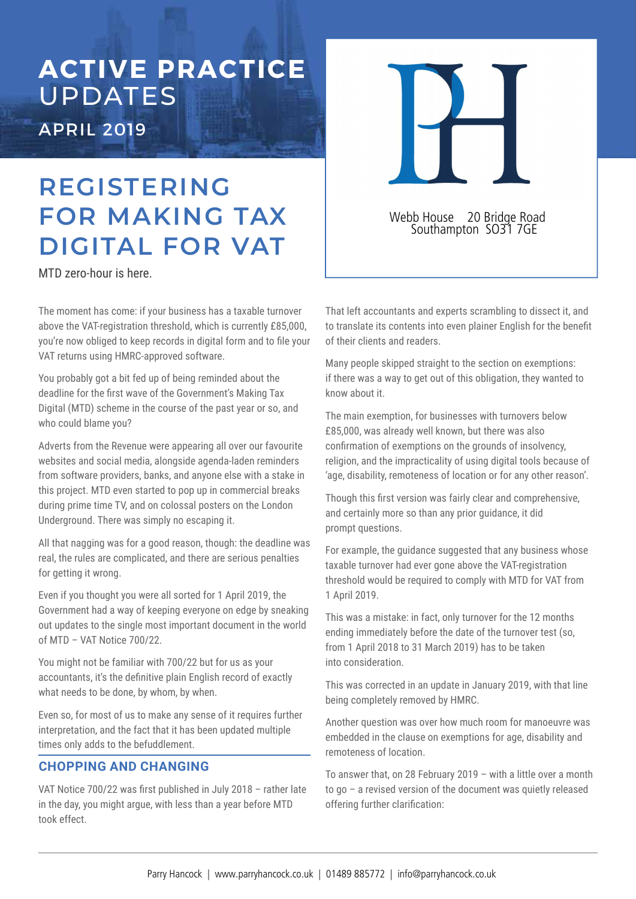# **ACTIVE PRACTICE**  UPDATES APRIL 2019

# **REGISTERING FOR MAKING TAX DIGITAL FOR VAT**

MTD zero-hour is here.

The moment has come: if your business has a taxable turnover above the VAT-registration threshold, which is currently £85,000, you're now obliged to keep records in digital form and to file your VAT returns using HMRC-approved software.

You probably got a bit fed up of being reminded about the deadline for the first wave of the Government's Making Tax Digital (MTD) scheme in the course of the past year or so, and who could blame you?

Adverts from the Revenue were appearing all over our favourite websites and social media, alongside agenda-laden reminders from software providers, banks, and anyone else with a stake in this project. MTD even started to pop up in commercial breaks during prime time TV, and on colossal posters on the London Underground. There was simply no escaping it.

All that nagging was for a good reason, though: the deadline was real, the rules are complicated, and there are serious penalties for getting it wrong.

Even if you thought you were all sorted for 1 April 2019, the Government had a way of keeping everyone on edge by sneaking out updates to the single most important document in the world of MTD – VAT Notice 700/22.

You might not be familiar with 700/22 but for us as your accountants, it's the definitive plain English record of exactly what needs to be done, by whom, by when.

Even so, for most of us to make any sense of it requires further interpretation, and the fact that it has been updated multiple times only adds to the befuddlement.

## **CHOPPING AND CHANGING**

VAT Notice  $700/22$  was first published in July 2018 - rather late in the day, you might argue, with less than a year before MTD took effect.

That left accountants and experts scrambling to dissect it, and to translate its contents into even plainer English for the benefit of their clients and readers.

Webb House 20 Bridge Road Southampton SO31 7GE

Many people skipped straight to the section on exemptions: if there was a way to get out of this obligation, they wanted to know about it.

The main exemption, for businesses with turnovers below £85,000, was already well known, but there was also confirmation of exemptions on the grounds of insolvency, religion, and the impracticality of using digital tools because of 'age, disability, remoteness of location or for any other reason'.

Though this first version was fairly clear and comprehensive, and certainly more so than any prior guidance, it did prompt questions.

For example, the guidance suggested that any business whose taxable turnover had ever gone above the VAT-registration threshold would be required to comply with MTD for VAT from 1 April 2019.

This was a mistake: in fact, only turnover for the 12 months ending immediately before the date of the turnover test (so, from 1 April 2018 to 31 March 2019) has to be taken into consideration.

This was corrected in an update in January 2019, with that line being completely removed by HMRC.

Another question was over how much room for manoeuvre was embedded in the clause on exemptions for age, disability and remoteness of location.

To answer that, on 28 February 2019 – with a little over a month to go – a revised version of the document was quietly released offering further clarification: